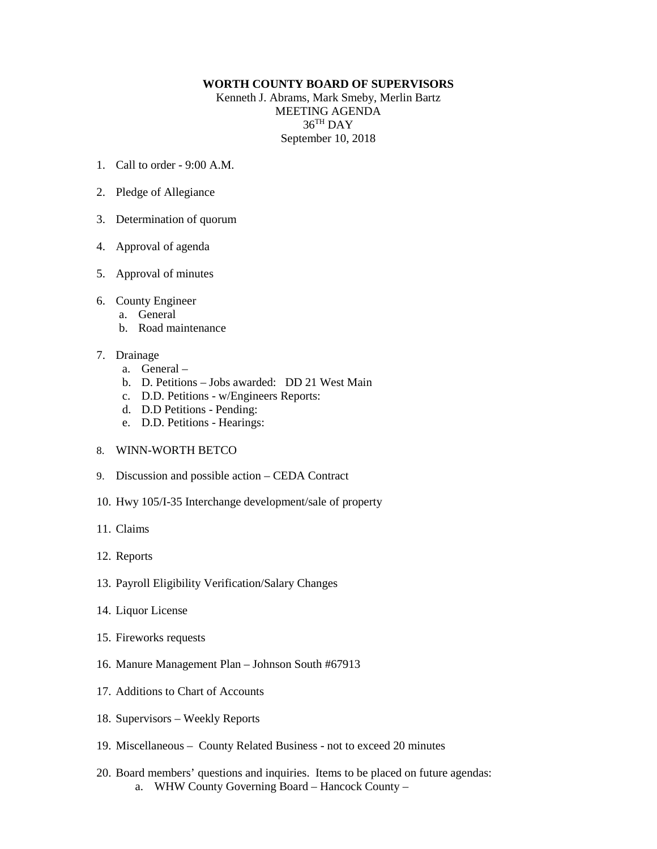## **WORTH COUNTY BOARD OF SUPERVISORS**

Kenneth J. Abrams, Mark Smeby, Merlin Bartz MEETING AGENDA 36TH DAY September 10, 2018

- 1. Call to order 9:00 A.M.
- 2. Pledge of Allegiance
- 3. Determination of quorum
- 4. Approval of agenda
- 5. Approval of minutes
- 6. County Engineer
	- a. General
	- b. Road maintenance
- 7. Drainage
	- a. General –
	- b. D. Petitions Jobs awarded: DD 21 West Main
	- c. D.D. Petitions w/Engineers Reports:
	- d. D.D Petitions Pending:
	- e. D.D. Petitions Hearings:
- 8. WINN-WORTH BETCO
- 9. Discussion and possible action CEDA Contract
- 10. Hwy 105/I-35 Interchange development/sale of property
- 11. Claims
- 12. Reports
- 13. Payroll Eligibility Verification/Salary Changes
- 14. Liquor License
- 15. Fireworks requests
- 16. Manure Management Plan Johnson South #67913
- 17. Additions to Chart of Accounts
- 18. Supervisors Weekly Reports
- 19. Miscellaneous County Related Business not to exceed 20 minutes
- 20. Board members' questions and inquiries. Items to be placed on future agendas: a. WHW County Governing Board – Hancock County –